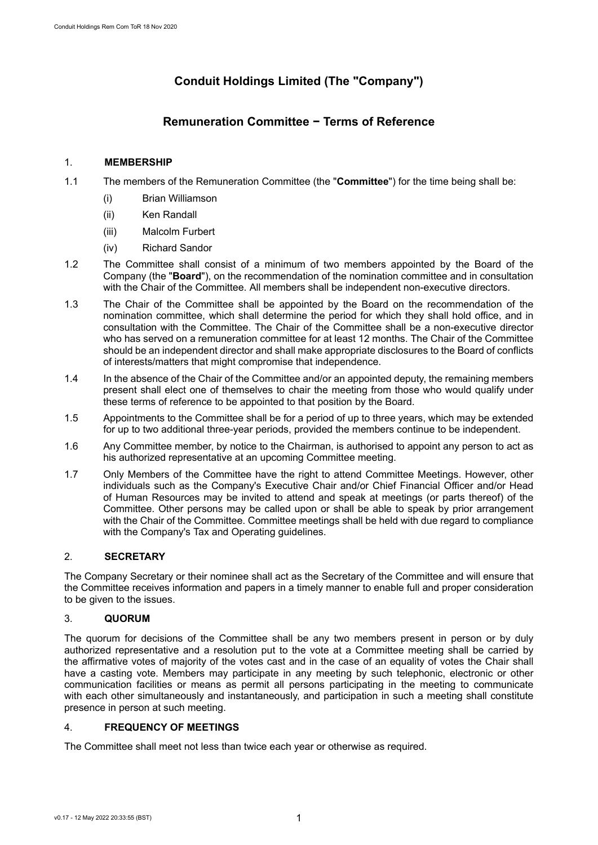# **Conduit Holdings Limited (The "Company")**

## **Remuneration Committee − Terms of Reference**

## 1. **MEMBERSHIP**

- 1.1 The members of the Remuneration Committee (the "**Committee**") for the time being shall be:
	- (i) Brian Williamson
	- (ii) Ken Randall
	- (iii) Malcolm Furbert
	- (iv) Richard Sandor
- 1.2 The Committee shall consist of a minimum of two members appointed by the Board of the Company (the "**Board**"), on the recommendation of the nomination committee and in consultation with the Chair of the Committee. All members shall be independent non-executive directors.
- 1.3 The Chair of the Committee shall be appointed by the Board on the recommendation of the nomination committee, which shall determine the period for which they shall hold office, and in consultation with the Committee. The Chair of the Committee shall be a non-executive director who has served on a remuneration committee for at least 12 months. The Chair of the Committee should be an independent director and shall make appropriate disclosures to the Board of conflicts of interests/matters that might compromise that independence.
- 1.4 In the absence of the Chair of the Committee and/or an appointed deputy, the remaining members present shall elect one of themselves to chair the meeting from those who would qualify under these terms of reference to be appointed to that position by the Board.
- 1.5 Appointments to the Committee shall be for a period of up to three years, which may be extended for up to two additional three-year periods, provided the members continue to be independent.
- 1.6 Any Committee member, by notice to the Chairman, is authorised to appoint any person to act as his authorized representative at an upcoming Committee meeting.
- 1.7 Only Members of the Committee have the right to attend Committee Meetings. However, other individuals such as the Company's Executive Chair and/or Chief Financial Officer and/or Head of Human Resources may be invited to attend and speak at meetings (or parts thereof) of the Committee. Other persons may be called upon or shall be able to speak by prior arrangement with the Chair of the Committee. Committee meetings shall be held with due regard to compliance with the Company's Tax and Operating guidelines.

## 2. **SECRETARY**

The Company Secretary or their nominee shall act as the Secretary of the Committee and will ensure that the Committee receives information and papers in a timely manner to enable full and proper consideration to be given to the issues.

## 3. **QUORUM**

The quorum for decisions of the Committee shall be any two members present in person or by duly authorized representative and a resolution put to the vote at a Committee meeting shall be carried by the affirmative votes of majority of the votes cast and in the case of an equality of votes the Chair shall have a casting vote. Members may participate in any meeting by such telephonic, electronic or other communication facilities or means as permit all persons participating in the meeting to communicate with each other simultaneously and instantaneously, and participation in such a meeting shall constitute presence in person at such meeting.

## 4. **FREQUENCY OF MEETINGS**

The Committee shall meet not less than twice each year or otherwise as required.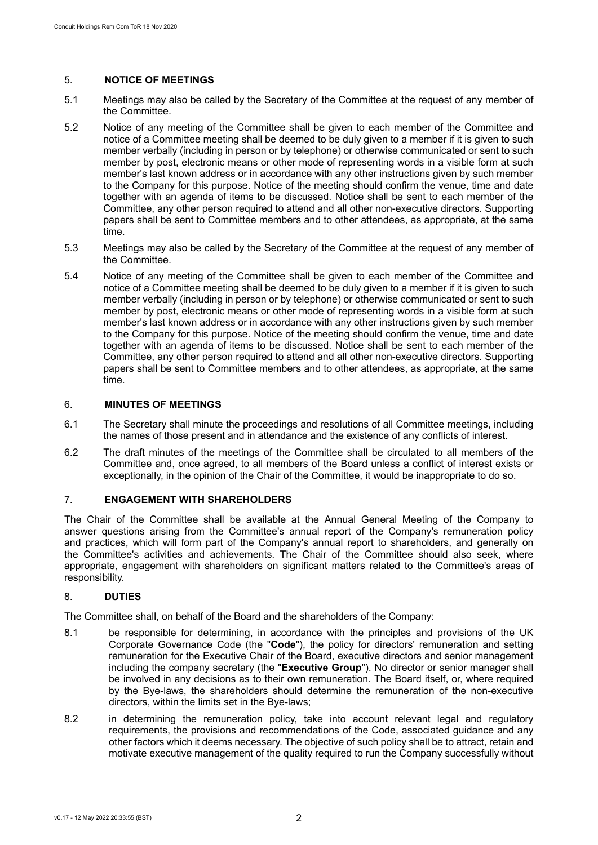#### 5. **NOTICE OF MEETINGS**

- 5.1 Meetings may also be called by the Secretary of the Committee at the request of any member of the Committee.
- 5.2 Notice of any meeting of the Committee shall be given to each member of the Committee and notice of a Committee meeting shall be deemed to be duly given to a member if it is given to such member verbally (including in person or by telephone) or otherwise communicated or sent to such member by post, electronic means or other mode of representing words in a visible form at such member's last known address or in accordance with any other instructions given by such member to the Company for this purpose. Notice of the meeting should confirm the venue, time and date together with an agenda of items to be discussed. Notice shall be sent to each member of the Committee, any other person required to attend and all other non-executive directors. Supporting papers shall be sent to Committee members and to other attendees, as appropriate, at the same time.
- 5.3 Meetings may also be called by the Secretary of the Committee at the request of any member of the Committee.
- 5.4 Notice of any meeting of the Committee shall be given to each member of the Committee and notice of a Committee meeting shall be deemed to be duly given to a member if it is given to such member verbally (including in person or by telephone) or otherwise communicated or sent to such member by post, electronic means or other mode of representing words in a visible form at such member's last known address or in accordance with any other instructions given by such member to the Company for this purpose. Notice of the meeting should confirm the venue, time and date together with an agenda of items to be discussed. Notice shall be sent to each member of the Committee, any other person required to attend and all other non-executive directors. Supporting papers shall be sent to Committee members and to other attendees, as appropriate, at the same time.

#### 6. **MINUTES OF MEETINGS**

- 6.1 The Secretary shall minute the proceedings and resolutions of all Committee meetings, including the names of those present and in attendance and the existence of any conflicts of interest.
- 6.2 The draft minutes of the meetings of the Committee shall be circulated to all members of the Committee and, once agreed, to all members of the Board unless a conflict of interest exists or exceptionally, in the opinion of the Chair of the Committee, it would be inappropriate to do so.

#### 7. **ENGAGEMENT WITH SHAREHOLDERS**

The Chair of the Committee shall be available at the Annual General Meeting of the Company to answer questions arising from the Committee's annual report of the Company's remuneration policy and practices, which will form part of the Company's annual report to shareholders, and generally on the Committee's activities and achievements. The Chair of the Committee should also seek, where appropriate, engagement with shareholders on significant matters related to the Committee's areas of responsibility.

#### 8. **DUTIES**

The Committee shall, on behalf of the Board and the shareholders of the Company:

- 8.1 be responsible for determining, in accordance with the principles and provisions of the UK Corporate Governance Code (the "**Code**"), the policy for directors' remuneration and setting remuneration for the Executive Chair of the Board, executive directors and senior management including the company secretary (the "**Executive Group**"). No director or senior manager shall be involved in any decisions as to their own remuneration. The Board itself, or, where required by the Bye-laws, the shareholders should determine the remuneration of the non-executive directors, within the limits set in the Bye-laws;
- 8.2 in determining the remuneration policy, take into account relevant legal and regulatory requirements, the provisions and recommendations of the Code, associated guidance and any other factors which it deems necessary. The objective of such policy shall be to attract, retain and motivate executive management of the quality required to run the Company successfully without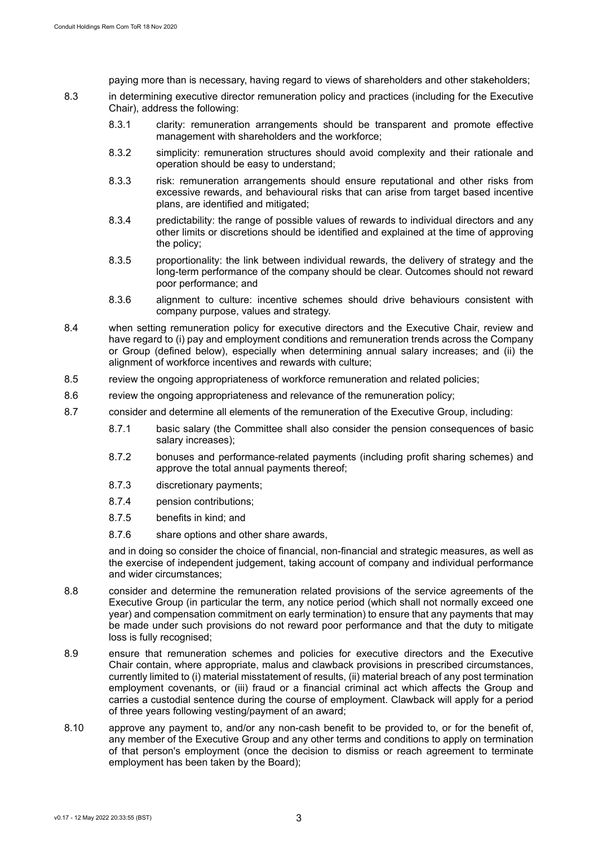paying more than is necessary, having regard to views of shareholders and other stakeholders;

- 8.3 in determining executive director remuneration policy and practices (including for the Executive Chair), address the following:
	- 8.3.1 clarity: remuneration arrangements should be transparent and promote effective management with shareholders and the workforce;
	- 8.3.2 simplicity: remuneration structures should avoid complexity and their rationale and operation should be easy to understand;
	- 8.3.3 risk: remuneration arrangements should ensure reputational and other risks from excessive rewards, and behavioural risks that can arise from target based incentive plans, are identified and mitigated;
	- 8.3.4 predictability: the range of possible values of rewards to individual directors and any other limits or discretions should be identified and explained at the time of approving the policy;
	- 8.3.5 proportionality: the link between individual rewards, the delivery of strategy and the long-term performance of the company should be clear. Outcomes should not reward poor performance; and
	- 8.3.6 alignment to culture: incentive schemes should drive behaviours consistent with company purpose, values and strategy.
- 8.4 when setting remuneration policy for executive directors and the Executive Chair, review and have regard to (i) pay and employment conditions and remuneration trends across the Company or Group (defined below), especially when determining annual salary increases; and (ii) the alignment of workforce incentives and rewards with culture;
- 8.5 review the ongoing appropriateness of workforce remuneration and related policies;
- 8.6 review the ongoing appropriateness and relevance of the remuneration policy;
- 8.7 consider and determine all elements of the remuneration of the Executive Group, including:
	- 8.7.1 basic salary (the Committee shall also consider the pension consequences of basic salary increases);
	- 8.7.2 bonuses and performance-related payments (including profit sharing schemes) and approve the total annual payments thereof;
	- 8.7.3 discretionary payments;
	- 8.7.4 pension contributions;
	- 8.7.5 benefits in kind; and
	- 8.7.6 share options and other share awards,

and in doing so consider the choice of financial, non-financial and strategic measures, as well as the exercise of independent judgement, taking account of company and individual performance and wider circumstances;

- 8.8 consider and determine the remuneration related provisions of the service agreements of the Executive Group (in particular the term, any notice period (which shall not normally exceed one year) and compensation commitment on early termination) to ensure that any payments that may be made under such provisions do not reward poor performance and that the duty to mitigate loss is fully recognised:
- 8.9 ensure that remuneration schemes and policies for executive directors and the Executive Chair contain, where appropriate, malus and clawback provisions in prescribed circumstances, currently limited to (i) material misstatement of results, (ii) material breach of any post termination employment covenants, or (iii) fraud or a financial criminal act which affects the Group and carries a custodial sentence during the course of employment. Clawback will apply for a period of three years following vesting/payment of an award;
- 8.10 approve any payment to, and/or any non-cash benefit to be provided to, or for the benefit of, any member of the Executive Group and any other terms and conditions to apply on termination of that person's employment (once the decision to dismiss or reach agreement to terminate employment has been taken by the Board);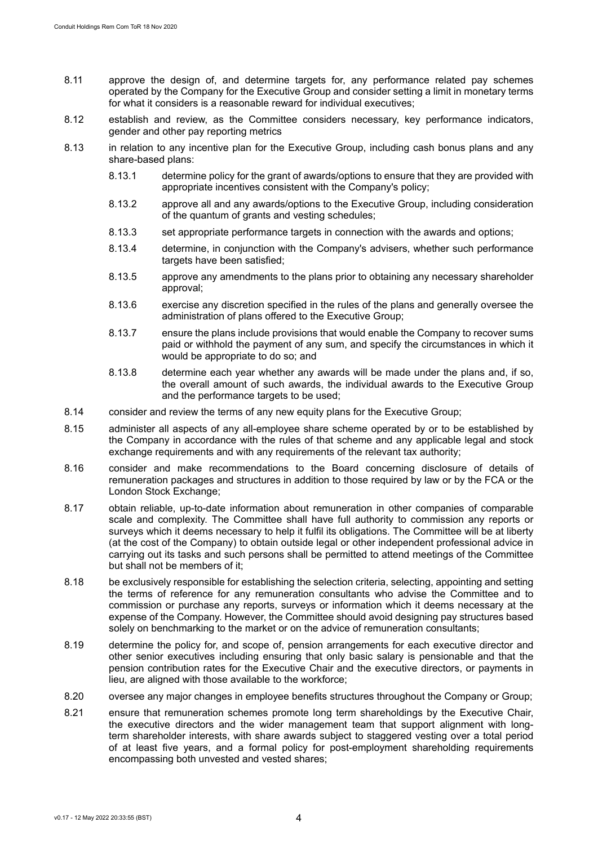- 8.11 approve the design of, and determine targets for, any performance related pay schemes operated by the Company for the Executive Group and consider setting a limit in monetary terms for what it considers is a reasonable reward for individual executives;
- 8.12 establish and review, as the Committee considers necessary, key performance indicators, gender and other pay reporting metrics
- 8.13 in relation to any incentive plan for the Executive Group, including cash bonus plans and any share-based plans:
	- 8.13.1 determine policy for the grant of awards/options to ensure that they are provided with appropriate incentives consistent with the Company's policy;
	- 8.13.2 approve all and any awards/options to the Executive Group, including consideration of the quantum of grants and vesting schedules;
	- 8.13.3 set appropriate performance targets in connection with the awards and options;
	- 8.13.4 determine, in conjunction with the Company's advisers, whether such performance targets have been satisfied:
	- 8.13.5 approve any amendments to the plans prior to obtaining any necessary shareholder approval;
	- 8.13.6 exercise any discretion specified in the rules of the plans and generally oversee the administration of plans offered to the Executive Group;
	- 8.13.7 ensure the plans include provisions that would enable the Company to recover sums paid or withhold the payment of any sum, and specify the circumstances in which it would be appropriate to do so; and
	- 8.13.8 determine each year whether any awards will be made under the plans and, if so, the overall amount of such awards, the individual awards to the Executive Group and the performance targets to be used;
- 8.14 consider and review the terms of any new equity plans for the Executive Group;
- 8.15 administer all aspects of any all-employee share scheme operated by or to be established by the Company in accordance with the rules of that scheme and any applicable legal and stock exchange requirements and with any requirements of the relevant tax authority;
- 8.16 consider and make recommendations to the Board concerning disclosure of details of remuneration packages and structures in addition to those required by law or by the FCA or the London Stock Exchange;
- 8.17 obtain reliable, up-to-date information about remuneration in other companies of comparable scale and complexity. The Committee shall have full authority to commission any reports or surveys which it deems necessary to help it fulfil its obligations. The Committee will be at liberty (at the cost of the Company) to obtain outside legal or other independent professional advice in carrying out its tasks and such persons shall be permitted to attend meetings of the Committee but shall not be members of it;
- 8.18 be exclusively responsible for establishing the selection criteria, selecting, appointing and setting the terms of reference for any remuneration consultants who advise the Committee and to commission or purchase any reports, surveys or information which it deems necessary at the expense of the Company. However, the Committee should avoid designing pay structures based solely on benchmarking to the market or on the advice of remuneration consultants;
- 8.19 determine the policy for, and scope of, pension arrangements for each executive director and other senior executives including ensuring that only basic salary is pensionable and that the pension contribution rates for the Executive Chair and the executive directors, or payments in lieu, are aligned with those available to the workforce;
- 8.20 oversee any major changes in employee benefits structures throughout the Company or Group;
- 8.21 ensure that remuneration schemes promote long term shareholdings by the Executive Chair, the executive directors and the wider management team that support alignment with longterm shareholder interests, with share awards subject to staggered vesting over a total period of at least five years, and a formal policy for post-employment shareholding requirements encompassing both unvested and vested shares;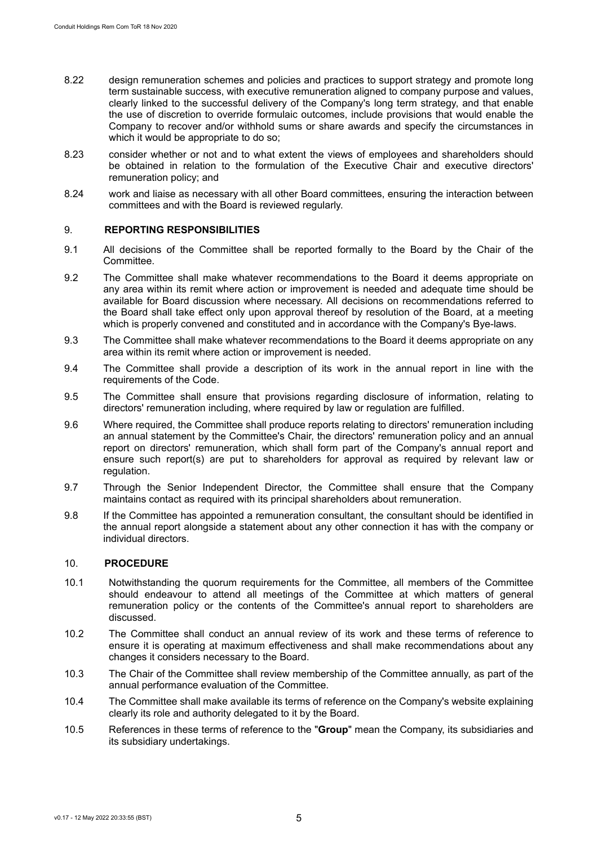- 8.22 design remuneration schemes and policies and practices to support strategy and promote long term sustainable success, with executive remuneration aligned to company purpose and values, clearly linked to the successful delivery of the Company's long term strategy, and that enable the use of discretion to override formulaic outcomes, include provisions that would enable the Company to recover and/or withhold sums or share awards and specify the circumstances in which it would be appropriate to do so;
- 8.23 consider whether or not and to what extent the views of employees and shareholders should be obtained in relation to the formulation of the Executive Chair and executive directors' remuneration policy; and
- 8.24 work and liaise as necessary with all other Board committees, ensuring the interaction between committees and with the Board is reviewed regularly.

#### 9. **REPORTING RESPONSIBILITIES**

- 9.1 All decisions of the Committee shall be reported formally to the Board by the Chair of the Committee.
- 9.2 The Committee shall make whatever recommendations to the Board it deems appropriate on any area within its remit where action or improvement is needed and adequate time should be available for Board discussion where necessary. All decisions on recommendations referred to the Board shall take effect only upon approval thereof by resolution of the Board, at a meeting which is properly convened and constituted and in accordance with the Company's Bye-laws.
- 9.3 The Committee shall make whatever recommendations to the Board it deems appropriate on any area within its remit where action or improvement is needed.
- 9.4 The Committee shall provide a description of its work in the annual report in line with the requirements of the Code.
- 9.5 The Committee shall ensure that provisions regarding disclosure of information, relating to directors' remuneration including, where required by law or regulation are fulfilled.
- 9.6 Where required, the Committee shall produce reports relating to directors' remuneration including an annual statement by the Committee's Chair, the directors' remuneration policy and an annual report on directors' remuneration, which shall form part of the Company's annual report and ensure such report(s) are put to shareholders for approval as required by relevant law or regulation.
- 9.7 Through the Senior Independent Director, the Committee shall ensure that the Company maintains contact as required with its principal shareholders about remuneration.
- 9.8 If the Committee has appointed a remuneration consultant, the consultant should be identified in the annual report alongside a statement about any other connection it has with the company or individual directors.

#### 10. **PROCEDURE**

- 10.1 Notwithstanding the quorum requirements for the Committee, all members of the Committee should endeavour to attend all meetings of the Committee at which matters of general remuneration policy or the contents of the Committee's annual report to shareholders are discussed.
- 10.2 The Committee shall conduct an annual review of its work and these terms of reference to ensure it is operating at maximum effectiveness and shall make recommendations about any changes it considers necessary to the Board.
- 10.3 The Chair of the Committee shall review membership of the Committee annually, as part of the annual performance evaluation of the Committee.
- 10.4 The Committee shall make available its terms of reference on the Company's website explaining clearly its role and authority delegated to it by the Board.
- 10.5 References in these terms of reference to the "**Group**" mean the Company, its subsidiaries and its subsidiary undertakings.